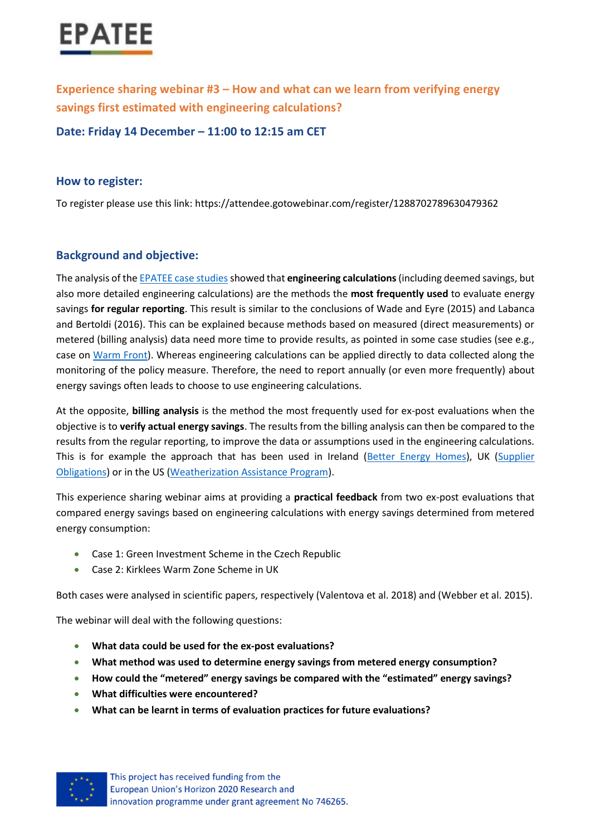

**Experience sharing webinar #3 – How and what can we learn from verifying energy savings first estimated with engineering calculations?**

**Date: Friday 14 December – 11:00 to 12:15 am CET**

#### **How to register:**

To register please use this link: https://attendee.gotowebinar.com/register/1288702789630479362

### **Background and objective:**

The analysis of th[e EPATEE case studiess](https://epatee.eu/case-studies)howed that **engineering calculations**(including deemed savings, but also more detailed engineering calculations) are the methods the **most frequently used** to evaluate energy savings **for regular reporting**. This result is similar to the conclusions of Wade and Eyre (2015) and Labanca and Bertoldi (2016). This can be explained because methods based on measured (direct measurements) or metered (billing analysis) data need more time to provide results, as pointed in some case studies (see e.g., case on [Warm Front\)](https://epatee.eu/sites/default/files/epatee_case_study_uk_warm_front_ok.pdf). Whereas engineering calculations can be applied directly to data collected along the monitoring of the policy measure. Therefore, the need to report annually (or even more frequently) about energy savings often leads to choose to use engineering calculations.

At the opposite, **billing analysis** is the method the most frequently used for ex-post evaluations when the objective is to **verify actual energy savings**. The results from the billing analysis can then be compared to the results from the regular reporting, to improve the data or assumptions used in the engineering calculations. This is for example the approach that has been used in Ireland [\(Better Energy Homes\)](https://epatee.eu/sites/default/files/epatee_case_study_ireland_better_energy_homes_ok.pdf), UK [\(Supplier](https://epatee.eu/sites/default/files/epatee_case_study_uk_supplier_obligations_ok.pdf)  [Obligations\)](https://epatee.eu/sites/default/files/epatee_case_study_uk_supplier_obligations_ok.pdf) or in the US [\(Weatherization Assistance Program\)](https://epatee.eu/sites/default/files/epatee_case_study_us_weatherization_assistance_program_ok.pdf).

This experience sharing webinar aims at providing a **practical feedback** from two ex-post evaluations that compared energy savings based on engineering calculations with energy savings determined from metered energy consumption:

- Case 1: Green Investment Scheme in the Czech Republic
- Case 2: Kirklees Warm Zone Scheme in UK

Both cases were analysed in scientific papers, respectively (Valentova et al. 2018) and (Webber et al. 2015).

The webinar will deal with the following questions:

- **What data could be used for the ex-post evaluations?**
- **What method was used to determine energy savings from metered energy consumption?**
- **How could the "metered" energy savings be compared with the "estimated" energy savings?**
- **What difficulties were encountered?**
- **What can be learnt in terms of evaluation practices for future evaluations?**